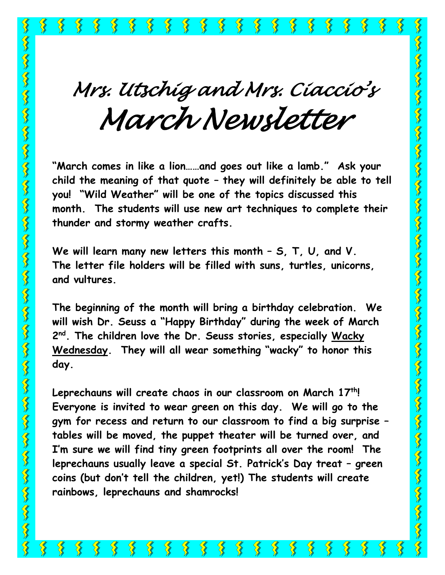**SANNA** 

℅

 $\sum_{i=1}^{n}$ 

 $\left\{ \right\}$ 

 $\sum_{i=1}^{n}$ 

₹₹

 $\frac{1}{3}$ 

*Mrs. Utschig and Mrs. Ciaccio'<sup>s</sup> March Newsletter* 

**"March comes in like a lion……and goes out like a lamb." Ask your child the meaning of that quote – they will definitely be able to tell you! "Wild Weather" will be one of the topics discussed this month. The students will use new art techniques to complete their thunder and stormy weather crafts.**

**We will learn many new letters this month – S, T, U, and V. The letter file holders will be filled with suns, turtles, unicorns, and vultures.**

**The beginning of the month will bring a birthday celebration. We will wish Dr. Seuss a "Happy Birthday" during the week of March 2 nd . The children love the Dr. Seuss stories, especially Wacky Wednesday. They will all wear something "wacky" to honor this day.**

**Leprechauns will create chaos in our classroom on March 17th! Everyone is invited to wear green on this day. We will go to the gym for recess and return to our classroom to find a big surprise – tables will be moved, the puppet theater will be turned over, and I'm sure we will find tiny green footprints all over the room! The leprechauns usually leave a special St. Patrick's Day treat – green coins (but don't tell the children, yet!) The students will create rainbows, leprechauns and shamrocks!**